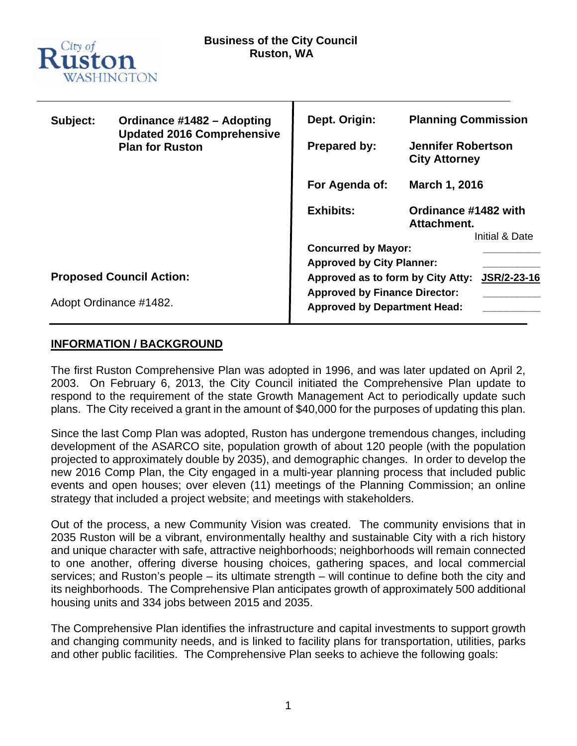

| Subject:                        | Ordinance #1482 - Adopting                                  | Dept. Origin:                                                               | <b>Planning Commission</b>                            |  |
|---------------------------------|-------------------------------------------------------------|-----------------------------------------------------------------------------|-------------------------------------------------------|--|
|                                 | <b>Updated 2016 Comprehensive</b><br><b>Plan for Ruston</b> | <b>Prepared by:</b>                                                         | <b>Jennifer Robertson</b><br><b>City Attorney</b>     |  |
|                                 |                                                             | For Agenda of:                                                              | March 1, 2016                                         |  |
|                                 |                                                             | <b>Exhibits:</b>                                                            | Ordinance #1482 with<br>Attachment.<br>Initial & Date |  |
|                                 |                                                             | <b>Concurred by Mayor:</b><br><b>Approved by City Planner:</b>              |                                                       |  |
|                                 |                                                             |                                                                             |                                                       |  |
| <b>Proposed Council Action:</b> |                                                             | Approved as to form by City Atty:                                           | JSR/2-23-16                                           |  |
| Adopt Ordinance #1482.          |                                                             | <b>Approved by Finance Director:</b><br><b>Approved by Department Head:</b> |                                                       |  |

### **INFORMATION / BACKGROUND**

The first Ruston Comprehensive Plan was adopted in 1996, and was later updated on April 2, 2003. On February 6, 2013, the City Council initiated the Comprehensive Plan update to respond to the requirement of the state Growth Management Act to periodically update such plans. The City received a grant in the amount of \$40,000 for the purposes of updating this plan.

Since the last Comp Plan was adopted, Ruston has undergone tremendous changes, including development of the ASARCO site, population growth of about 120 people (with the population projected to approximately double by 2035), and demographic changes. In order to develop the new 2016 Comp Plan, the City engaged in a multi-year planning process that included public events and open houses; over eleven (11) meetings of the Planning Commission; an online strategy that included a project website; and meetings with stakeholders.

Out of the process, a new Community Vision was created. The community envisions that in 2035 Ruston will be a vibrant, environmentally healthy and sustainable City with a rich history and unique character with safe, attractive neighborhoods; neighborhoods will remain connected to one another, offering diverse housing choices, gathering spaces, and local commercial services; and Ruston's people – its ultimate strength – will continue to define both the city and its neighborhoods. The Comprehensive Plan anticipates growth of approximately 500 additional housing units and 334 jobs between 2015 and 2035.

The Comprehensive Plan identifies the infrastructure and capital investments to support growth and changing community needs, and is linked to facility plans for transportation, utilities, parks and other public facilities. The Comprehensive Plan seeks to achieve the following goals: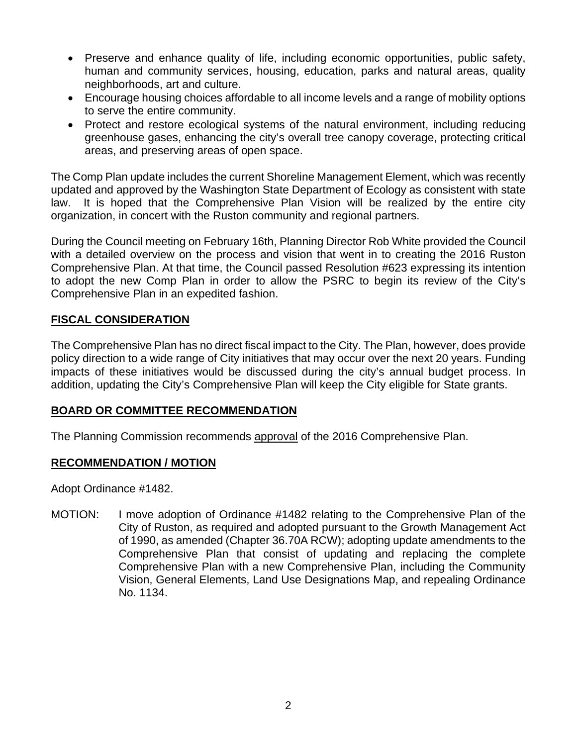- Preserve and enhance quality of life, including economic opportunities, public safety, human and community services, housing, education, parks and natural areas, quality neighborhoods, art and culture.
- Encourage housing choices affordable to all income levels and a range of mobility options to serve the entire community.
- Protect and restore ecological systems of the natural environment, including reducing greenhouse gases, enhancing the city's overall tree canopy coverage, protecting critical areas, and preserving areas of open space.

The Comp Plan update includes the current Shoreline Management Element, which was recently updated and approved by the Washington State Department of Ecology as consistent with state law. It is hoped that the Comprehensive Plan Vision will be realized by the entire city organization, in concert with the Ruston community and regional partners.

During the Council meeting on February 16th, Planning Director Rob White provided the Council with a detailed overview on the process and vision that went in to creating the 2016 Ruston Comprehensive Plan. At that time, the Council passed Resolution #623 expressing its intention to adopt the new Comp Plan in order to allow the PSRC to begin its review of the City's Comprehensive Plan in an expedited fashion.

## **FISCAL CONSIDERATION**

The Comprehensive Plan has no direct fiscal impact to the City. The Plan, however, does provide policy direction to a wide range of City initiatives that may occur over the next 20 years. Funding impacts of these initiatives would be discussed during the city's annual budget process. In addition, updating the City's Comprehensive Plan will keep the City eligible for State grants.

### **BOARD OR COMMITTEE RECOMMENDATION**

The Planning Commission recommends approval of the 2016 Comprehensive Plan.

### **RECOMMENDATION / MOTION**

Adopt Ordinance #1482.

MOTION: I move adoption of Ordinance #1482 relating to the Comprehensive Plan of the City of Ruston, as required and adopted pursuant to the Growth Management Act of 1990, as amended (Chapter 36.70A RCW); adopting update amendments to the Comprehensive Plan that consist of updating and replacing the complete Comprehensive Plan with a new Comprehensive Plan, including the Community Vision, General Elements, Land Use Designations Map, and repealing Ordinance No. 1134.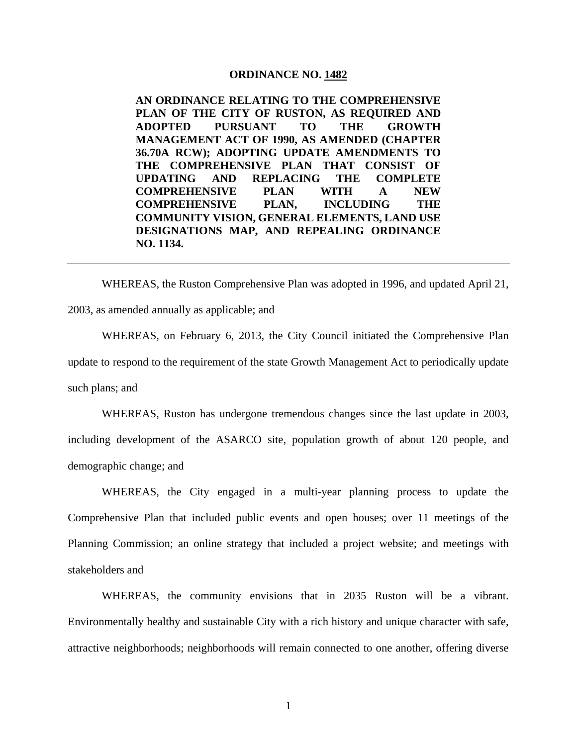#### **ORDINANCE NO. 1482**

**AN ORDINANCE RELATING TO THE COMPREHENSIVE PLAN OF THE CITY OF RUSTON, AS REQUIRED AND ADOPTED PURSUANT TO THE GROWTH MANAGEMENT ACT OF 1990, AS AMENDED (CHAPTER 36.70A RCW); ADOPTING UPDATE AMENDMENTS TO THE COMPREHENSIVE PLAN THAT CONSIST OF UPDATING AND REPLACING THE COMPLETE COMPREHENSIVE PLAN WITH A NEW COMPREHENSIVE PLAN, INCLUDING THE COMMUNITY VISION, GENERAL ELEMENTS, LAND USE DESIGNATIONS MAP, AND REPEALING ORDINANCE NO. 1134.** 

WHEREAS, the Ruston Comprehensive Plan was adopted in 1996, and updated April 21, 2003, as amended annually as applicable; and

WHEREAS, on February 6, 2013, the City Council initiated the Comprehensive Plan update to respond to the requirement of the state Growth Management Act to periodically update such plans; and

WHEREAS, Ruston has undergone tremendous changes since the last update in 2003, including development of the ASARCO site, population growth of about 120 people, and demographic change; and

WHEREAS, the City engaged in a multi-year planning process to update the Comprehensive Plan that included public events and open houses; over 11 meetings of the Planning Commission; an online strategy that included a project website; and meetings with stakeholders and

WHEREAS, the community envisions that in 2035 Ruston will be a vibrant. Environmentally healthy and sustainable City with a rich history and unique character with safe, attractive neighborhoods; neighborhoods will remain connected to one another, offering diverse

1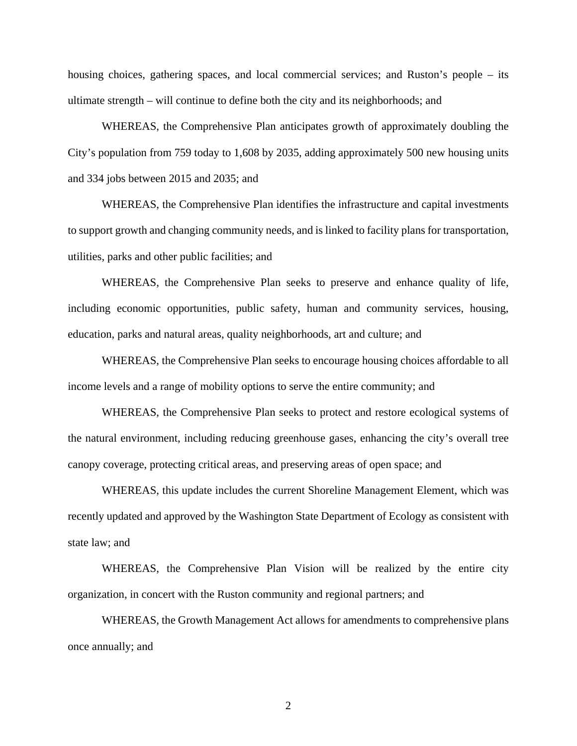housing choices, gathering spaces, and local commercial services; and Ruston's people – its ultimate strength – will continue to define both the city and its neighborhoods; and

WHEREAS, the Comprehensive Plan anticipates growth of approximately doubling the City's population from 759 today to 1,608 by 2035, adding approximately 500 new housing units and 334 jobs between 2015 and 2035; and

WHEREAS, the Comprehensive Plan identifies the infrastructure and capital investments to support growth and changing community needs, and is linked to facility plans for transportation, utilities, parks and other public facilities; and

WHEREAS, the Comprehensive Plan seeks to preserve and enhance quality of life, including economic opportunities, public safety, human and community services, housing, education, parks and natural areas, quality neighborhoods, art and culture; and

WHEREAS, the Comprehensive Plan seeks to encourage housing choices affordable to all income levels and a range of mobility options to serve the entire community; and

WHEREAS, the Comprehensive Plan seeks to protect and restore ecological systems of the natural environment, including reducing greenhouse gases, enhancing the city's overall tree canopy coverage, protecting critical areas, and preserving areas of open space; and

WHEREAS, this update includes the current Shoreline Management Element, which was recently updated and approved by the Washington State Department of Ecology as consistent with state law; and

WHEREAS, the Comprehensive Plan Vision will be realized by the entire city organization, in concert with the Ruston community and regional partners; and

WHEREAS, the Growth Management Act allows for amendments to comprehensive plans once annually; and

2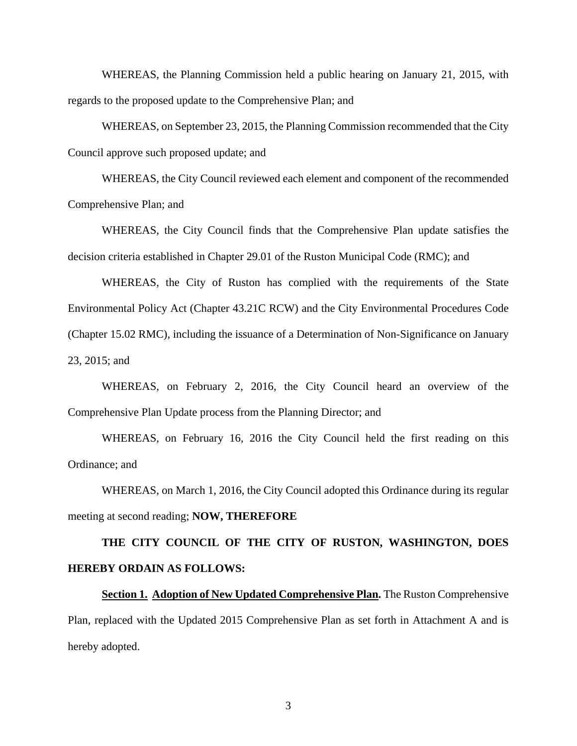WHEREAS, the Planning Commission held a public hearing on January 21, 2015, with regards to the proposed update to the Comprehensive Plan; and

WHEREAS, on September 23, 2015, the Planning Commission recommended that the City Council approve such proposed update; and

WHEREAS, the City Council reviewed each element and component of the recommended Comprehensive Plan; and

WHEREAS, the City Council finds that the Comprehensive Plan update satisfies the decision criteria established in Chapter 29.01 of the Ruston Municipal Code (RMC); and

WHEREAS, the City of Ruston has complied with the requirements of the State Environmental Policy Act (Chapter 43.21C RCW) and the City Environmental Procedures Code (Chapter 15.02 RMC), including the issuance of a Determination of Non-Significance on January 23, 2015; and

WHEREAS, on February 2, 2016, the City Council heard an overview of the Comprehensive Plan Update process from the Planning Director; and

WHEREAS, on February 16, 2016 the City Council held the first reading on this Ordinance; and

 WHEREAS, on March 1, 2016, the City Council adopted this Ordinance during its regular meeting at second reading; **NOW, THEREFORE**

# **THE CITY COUNCIL OF THE CITY OF RUSTON, WASHINGTON, DOES HEREBY ORDAIN AS FOLLOWS:**

**Section 1. Adoption of New Updated Comprehensive Plan.** The Ruston Comprehensive Plan, replaced with the Updated 2015 Comprehensive Plan as set forth in Attachment A and is hereby adopted.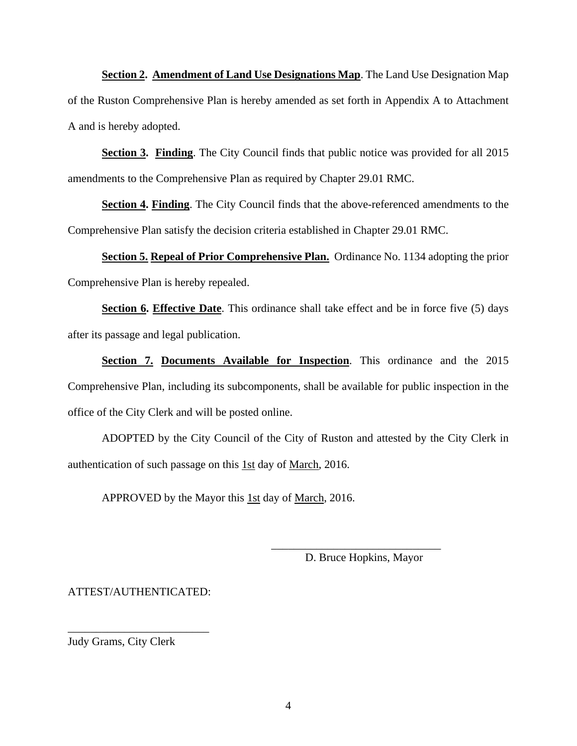**Section 2. Amendment of Land Use Designations Map**. The Land Use Designation Map of the Ruston Comprehensive Plan is hereby amended as set forth in Appendix A to Attachment A and is hereby adopted.

**Section 3. Finding**. The City Council finds that public notice was provided for all 2015 amendments to the Comprehensive Plan as required by Chapter 29.01 RMC.

**Section 4. Finding.** The City Council finds that the above-referenced amendments to the Comprehensive Plan satisfy the decision criteria established in Chapter 29.01 RMC.

**Section 5. Repeal of Prior Comprehensive Plan.** Ordinance No. 1134 adopting the prior Comprehensive Plan is hereby repealed.

**Section 6. Effective Date**. This ordinance shall take effect and be in force five (5) days after its passage and legal publication.

**Section 7. Documents Available for Inspection**. This ordinance and the 2015 Comprehensive Plan, including its subcomponents, shall be available for public inspection in the office of the City Clerk and will be posted online.

ADOPTED by the City Council of the City of Ruston and attested by the City Clerk in authentication of such passage on this 1st day of March, 2016.

APPROVED by the Mayor this 1st day of March, 2016.

 $\frac{1}{\sqrt{2}}$  ,  $\frac{1}{\sqrt{2}}$  ,  $\frac{1}{\sqrt{2}}$  ,  $\frac{1}{\sqrt{2}}$  ,  $\frac{1}{\sqrt{2}}$  ,  $\frac{1}{\sqrt{2}}$  ,  $\frac{1}{\sqrt{2}}$  ,  $\frac{1}{\sqrt{2}}$  ,  $\frac{1}{\sqrt{2}}$  ,  $\frac{1}{\sqrt{2}}$  ,  $\frac{1}{\sqrt{2}}$  ,  $\frac{1}{\sqrt{2}}$  ,  $\frac{1}{\sqrt{2}}$  ,  $\frac{1}{\sqrt{2}}$  ,  $\frac{1}{\sqrt{2}}$ 

D. Bruce Hopkins, Mayor

ATTEST/AUTHENTICATED:

\_\_\_\_\_\_\_\_\_\_\_\_\_\_\_\_\_\_\_\_\_\_\_\_\_

Judy Grams, City Clerk